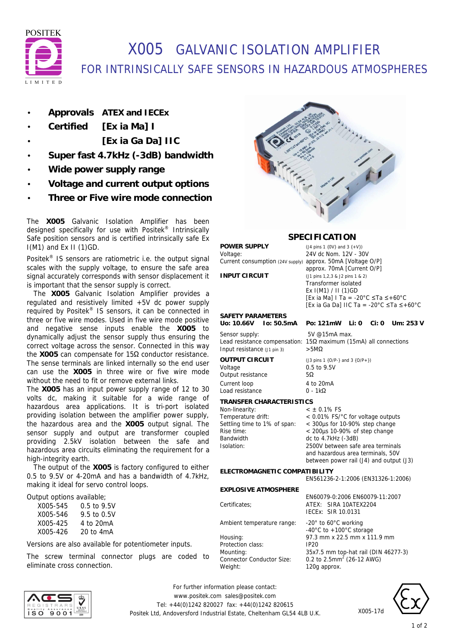

# X005 GALVANIC ISOLATION AMPLIFIER FOR INTRINSICALLY SAFE SENSORS IN HAZARDOUS ATMOSPHERES

- **Approvals ATEX and IECEx**
- **Certified [Ex ia Ma] I**
	- **[Ex ia Ga Da] IIC**
- **Super fast 4.7kHz (-3dB) bandwidth**
- **Wide power supply range**
- **Voltage and current output options**
- **Three or Five wire mode connection**

The **X005** Galvanic Isolation Amplifier has been designed specifically for use with Positek® Intrinsically Safe position sensors and is certified intrinsically safe Ex I(M1) and Ex II (1)GD.

Positek® IS sensors are ratiometric i.e. the output signal scales with the supply voltage, to ensure the safe area signal accurately corresponds with sensor displacement it is important that the sensor supply is correct.

 The **X005** Galvanic Isolation Amplifier provides a regulated and resistively limited +5V dc power supply required by Positek® IS sensors, it can be connected in three or five wire modes. Used in five wire mode positive and negative sense inputs enable the **X005** to dynamically adjust the sensor supply thus ensuring the correct voltage across the sensor. Connected in this way the **X005** can compensate for 15Ω conductor resistance. The sense terminals are linked internally so the end user can use the **X005** in three wire or five wire mode without the need to fit or remove external links.

The **X005** has an input power supply range of 12 to 30 volts dc, making it suitable for a wide range of hazardous area applications. It is tri-port isolated providing isolation between the amplifier power supply, the hazardous area and the **X005** output signal. The sensor supply and output are transformer coupled providing 2.5kV isolation between the safe and hazardous area circuits eliminating the requirement for a high-integrity earth.

 The output of the **X005** is factory configured to either 0.5 to 9.5V or 4-20mA and has a bandwidth of 4.7kHz, making it ideal for servo control loops.

Output options available;

| X005-545 | 0.5 to 9.5V   |
|----------|---------------|
| X005-546 | 9.5 to 0.5V   |
| X005-425 | 4 to 20mA     |
| X005-426 | $20$ to $4mA$ |

Versions are also available for potentiometer inputs.

The screw terminal connector plugs are coded to eliminate cross connection.



### **SPECIFICATION**

**POWER SUPPLY** (*J4 pins 1 {0V} and 3 {+V})*<br>
Voltage: 24V dc Nom. 12V - 30 Current consumption (24V supply) approx. 50mA [Voltage O/P]

24V dc Nom. 12V - 30V approx. 70mA [Current O/P] **INPUT CIRCUIT** (J1 pins 1,2,3 & J2 pins 1 & 2) Transformer isolated Ex I(M1) / II (1)GD [Ex ia Ma] I Ta = -20°C ≤Ta ≤+60°C [Ex ia Ga Da] IIC Ta = -20°C ≤Ta ≤+60°C

**Uo: 10.66V Io: 50.5mA Po: 121mW Li: 0 Ci: 0 Um: 253 V**

# SAFETY PARAMETERS<br>Uo: 10.66V lo: 50.5mA

Sensor supply: 5V @15mA max. Lead resistance compensation: 15Ω maximum (15mA) all connections Input resistance (J1 pin 3) >5MΩ

### Voltage 0.5 to 9.5V

Output resistance 5Ω Current loop 4 to 20mA Load resistance 0 - 1kΩ

**OUTPUT CIRCUIT** (J3 pins 1 {O/P-} and 3 {O/P+})

#### **TRANSFER CHARACTERISTICS**

| Non-linearity:               | $<$ $\pm$ 0.1% FS                                                            |
|------------------------------|------------------------------------------------------------------------------|
| Temperature drift:           | $< 0.01\%$ FS/ $^{\circ}$ C for voltage outputs                              |
| Settling time to 1% of span: | < 300us for 10-90% step change                                               |
| Rise time:                   | $<$ 200 $\mu$ s 10-90% of step change                                        |
| Bandwidth                    | dc to 4.7kHz (-3dB)                                                          |
| Isolation:                   | 2500V between safe area terminals                                            |
|                              | and hazardous area terminals, 50V<br>between power rail (J4) and output (J3) |

**ELECTROMAGNETIC COMPATIBILITY**

EN561236-2-1:2006 (EN31326-1:2006)

#### **EXPLOSIVE ATMOSPHERE**

Ambient temperature range: -20° to 60°C working

Protection class: Connector Conductor Size: Weight: 120g approx.



-40°C to +100°C storage Housing: 97.3 mm x 22.5 mm x 111.9 mm Mounting: 35x7.5 mm top-hat rail (DIN 46277-3) 0.2 to  $2.5$ mm<sup>2</sup> (26-12 AWG)

X005-17d



*For further information please contact:* www.positek.com sales@positek.com Tel: +44(0)1242 820027 fax: +44(0)1242 820615 Positek Ltd, Andoversford Industrial Estate, Cheltenham GL54 4LB U.K.